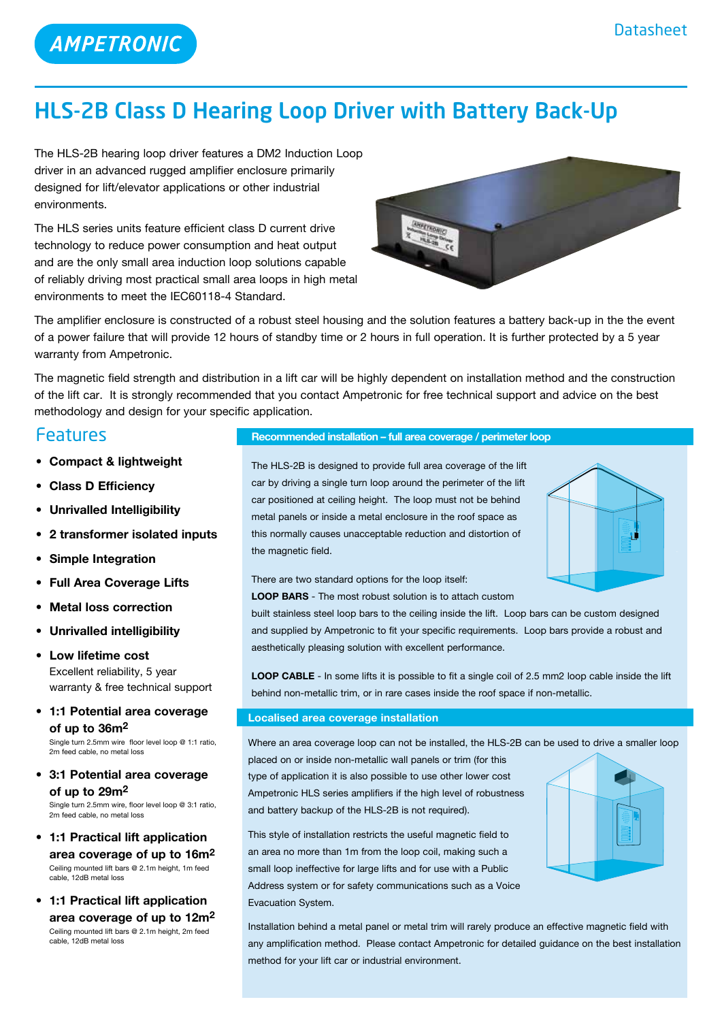

# HLS-2B Class D Hearing Loop Driver with Battery Back-Up

The HLS-2B hearing loop driver features a DM2 Induction Loop driver in an advanced rugged amplifier enclosure primarily designed for lift/elevator applications or other industrial environments.

The HLS series units feature efficient class D current drive technology to reduce power consumption and heat output and are the only small area induction loop solutions capable of reliably driving most practical small area loops in high metal environments to meet the IEC60118-4 Standard.



The amplifier enclosure is constructed of a robust steel housing and the solution features a battery back-up in the the event of a power failure that will provide 12 hours of standby time or 2 hours in full operation. It is further protected by a 5 year warranty from Ampetronic.

The magnetic field strength and distribution in a lift car will be highly dependent on installation method and the construction of the lift car. It is strongly recommended that you contact Ampetronic for free technical support and advice on the best methodology and design for your specific application.

### Features

- **• Compact & lightweight**
- **• Class D Efficiency**
- **• Unrivalled Intelligibility**
- **• 2 transformer isolated inputs**
- **• Simple Integration**
- **• Full Area Coverage Lifts**
- **• Metal loss correction**
- **• Unrivalled intelligibility**
- **Low lifetime cost** Excellent reliability, 5 year warranty & free technical support
- **• 1:1 Potential area coverage of up to 36m2**

Single turn 2.5mm wire floor level loop @ 1:1 ratio, 2m feed cable, no metal loss

**• 3:1 Potential area coverage of up to 29m2**

Single turn 2.5mm wire, floor level loop @ 3:1 ratio, 2m feed cable, no metal loss

- **• 1:1 Practical lift application area coverage of up to 16m2** Ceiling mounted lift bars @ 2.1m height, 1m feed cable, 12dB metal loss
- **• 1:1 Practical lift application area coverage of up to 12m2** Ceiling mounted lift bars @ 2.1m height, 2m feed cable, 12dB metal loss

### **Recommended installation – full area coverage / perimeter loop**

The HLS-2B is designed to provide full area coverage of the lift car by driving a single turn loop around the perimeter of the lift car positioned at ceiling height. The loop must not be behind metal panels or inside a metal enclosure in the roof space as this normally causes unacceptable reduction and distortion of the magnetic field.



There are two standard options for the loop itself:

**LOOP BARS** - The most robust solution is to attach custom

built stainless steel loop bars to the ceiling inside the lift. Loop bars can be custom designed and supplied by Ampetronic to fit your specific requirements. Loop bars provide a robust and aesthetically pleasing solution with excellent performance.

**LOOP CABLE** - In some lifts it is possible to fit a single coil of 2.5 mm2 loop cable inside the lift behind non-metallic trim, or in rare cases inside the roof space if non-metallic.

### **Localised area coverage installation**

Where an area coverage loop can not be installed, the HLS-2B can be used to drive a smaller loop placed on or inside non-metallic wall panels or trim (for this

type of application it is also possible to use other lower cost Ampetronic HLS series amplifiers if the high level of robustness and battery backup of the HLS-2B is not required).

This style of installation restricts the useful magnetic field to an area no more than 1m from the loop coil, making such a small loop ineffective for large lifts and for use with a Public Address system or for safety communications such as a Voice Evacuation System.



Installation behind a metal panel or metal trim will rarely produce an effective magnetic field with any amplification method. Please contact Ampetronic for detailed guidance on the best installation method for your lift car or industrial environment.